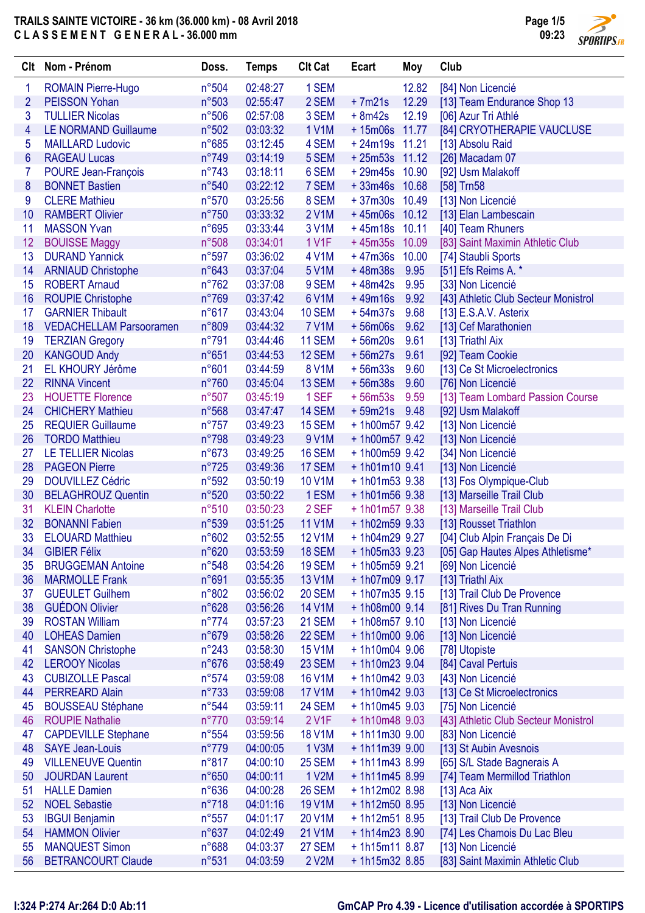

| Clt            | Nom - Prénom                   | Doss.          | <b>Temps</b>         | <b>CIt Cat</b>     | Ecart           | Moy   | Club                                 |
|----------------|--------------------------------|----------------|----------------------|--------------------|-----------------|-------|--------------------------------------|
| 1              | <b>ROMAIN Pierre-Hugo</b>      | n°504          | 02:48:27             | 1 SEM              |                 | 12.82 | [84] Non Licencié                    |
| $\overline{2}$ | <b>PEISSON Yohan</b>           | n°503          | 02:55:47             | 2 SEM              | $+7m21s$        | 12.29 | [13] Team Endurance Shop 13          |
| 3              | <b>TULLIER Nicolas</b>         | n°506          | 02:57:08             | 3 SEM              | $+8m42s$        | 12.19 | [06] Azur Tri Athlé                  |
| 4              | <b>LE NORMAND Guillaume</b>    | n°502          | 03:03:32             | <b>1 V1M</b>       | +15m06s 11.77   |       | [84] CRYOTHERAPIE VAUCLUSE           |
| 5              | <b>MAILLARD Ludovic</b>        | $n^{\circ}685$ | 03:12:45             | 4 SEM              | $+24m19s$ 11.21 |       | [13] Absolu Raid                     |
| $6\phantom{a}$ | <b>RAGEAU Lucas</b>            | $n^{\circ}749$ | 03:14:19             | 5 SEM              | $+25m53s$ 11.12 |       | [26] Macadam 07                      |
| 7              | POURE Jean-François            | $n^{\circ}743$ | 03:18:11             | 6 SEM              | +29m45s 10.90   |       | [92] Usm Malakoff                    |
| 8              | <b>BONNET Bastien</b>          | n°540          | 03:22:12             | 7 SEM              | +33m46s 10.68   |       | $[58]$ Trn58                         |
| 9              | <b>CLERE Mathieu</b>           | n°570          | 03:25:56             | 8 SEM              | +37m30s 10.49   |       | [13] Non Licencié                    |
| 10             | <b>RAMBERT Olivier</b>         | $n^{\circ}750$ | 03:33:32             | 2 V1M              | $+45m06s$ 10.12 |       | [13] Elan Lambescain                 |
| 11             | <b>MASSON Yvan</b>             | n°695          | 03:33:44             | 3 V1M              | $+45m18s$ 10.11 |       | [40] Team Rhuners                    |
| 12             | <b>BOUISSE Maggy</b>           | n°508          | 03:34:01             | <b>1 V1F</b>       | +45m35s 10.09   |       | [83] Saint Maximin Athletic Club     |
| 13             | <b>DURAND Yannick</b>          | n°597          | 03:36:02             | 4 V1M              | $+47m36s$       | 10.00 | [74] Staubli Sports                  |
| 14             | <b>ARNIAUD Christophe</b>      | $n^{\circ}643$ | 03:37:04             | 5 V1M              | $+48m38s$       | 9.95  | [51] Efs Reims A. *                  |
| 15             | <b>ROBERT Arnaud</b>           | $n^{\circ}762$ | 03:37:08             | 9 SEM              | $+48m42s$       | 9.95  | [33] Non Licencié                    |
| 16             | <b>ROUPIE Christophe</b>       | $n^{\circ}769$ | 03:37:42             | 6 V1M              | $+49m16s$       | 9.92  | [43] Athletic Club Secteur Monistrol |
| 17             | <b>GARNIER Thibault</b>        | $n^{\circ}617$ | 03:43:04             | <b>10 SEM</b>      | $+54m37s$       | 9.68  | [13] E.S.A.V. Asterix                |
| 18             | <b>VEDACHELLAM Parsooramen</b> | n°809          | 03:44:32             | <b>7 V1M</b>       | $+56m06s$       | 9.62  | [13] Cef Marathonien                 |
| 19             | <b>TERZIAN Gregory</b>         | $n^{\circ}791$ | 03:44:46             | <b>11 SEM</b>      | $+56m20s$       | 9.61  | [13] Triathl Aix                     |
| 20             | <b>KANGOUD Andy</b>            | n°651          | 03:44:53             | <b>12 SEM</b>      | $+56m27s$       | 9.61  | [92] Team Cookie                     |
| 21             | EL KHOURY Jérôme               | n°601          | 03:44:59             | 8 V1M              | $+56m33s$       | 9.60  | [13] Ce St Microelectronics          |
| 22             | <b>RINNA Vincent</b>           | $n^{\circ}760$ | 03:45:04             | 13 SEM             | $+56m38s$       | 9.60  | [76] Non Licencié                    |
| 23             | <b>HOUETTE Florence</b>        | n°507          | 03:45:19             | 1 SEF              | $+56m53s$       | 9.59  | [13] Team Lombard Passion Course     |
| 24             | <b>CHICHERY Mathieu</b>        | n°568          | 03:47:47             | <b>14 SEM</b>      | $+59m21s$       | 9.48  | [92] Usm Malakoff                    |
| 25             | <b>REQUIER Guillaume</b>       | $n^{\circ}757$ | 03:49:23             | <b>15 SEM</b>      | + 1h00m57 9.42  |       | [13] Non Licencié                    |
| 26             | <b>TORDO Matthieu</b>          | $n^{\circ}798$ | 03:49:23             | 9 V1M              | + 1h00m57 9.42  |       | [13] Non Licencié                    |
| 27             | <b>LE TELLIER Nicolas</b>      | $n^{\circ}673$ | 03:49:25             | <b>16 SEM</b>      | +1h00m59 9.42   |       | [34] Non Licencié                    |
| 28             | <b>PAGEON Pierre</b>           | $n^{\circ}725$ | 03:49:36             | 17 SEM             | $+1h01m10$ 9.41 |       | [13] Non Licencié                    |
| 29             | <b>DOUVILLEZ Cédric</b>        | n°592          | 03:50:19             | <b>10 V1M</b>      | $+1h01m53$ 9.38 |       | [13] Fos Olympique-Club              |
| 30             | <b>BELAGHROUZ Quentin</b>      | n°520          | 03:50:22             | 1 ESM              | $+1h01m56$ 9.38 |       |                                      |
| 31             | <b>KLEIN Charlotte</b>         | $n^{\circ}510$ | 03:50:23             | 2 SEF              | $+1h01m579.38$  |       | [13] Marseille Trail Club            |
| 32             | <b>BONANNI Fabien</b>          | n°539          | 03:51:25             | <b>11 V1M</b>      | $+1h02m599.33$  |       | [13] Marseille Trail Club            |
| 33             | <b>ELOUARD Matthieu</b>        | n°602          | 03:52:55             | <b>12 V1M</b>      | +1h04m29 9.27   |       | [13] Rousset Triathlon               |
| 34             | <b>GIBIER Félix</b>            |                |                      | 18 SEM             |                 |       | [04] Club Alpin Français De Di       |
|                |                                | n°620          | 03:53:59<br>03:54:26 |                    | $+1h05m33$ 9.23 |       | [05] Gap Hautes Alpes Athletisme*    |
| 35             | <b>BRUGGEMAN Antoine</b>       | $n^{\circ}548$ |                      | <b>19 SEM</b>      | $+1h05m599.21$  |       | [69] Non Licencié                    |
| 36             | <b>MARMOLLE Frank</b>          | n°691          | 03:55:35             | <b>13 V1M</b>      | +1h07m09 9.17   |       | [13] Triathl Aix                     |
| 37             | <b>GUEULET Guilhem</b>         | n°802          | 03:56:02             | <b>20 SEM</b>      | $+1h07m359.15$  |       | [13] Trail Club De Provence          |
| 38             | <b>GUÉDON Olivier</b>          | n°628          | 03:56:26             | <b>14 V1M</b>      | +1h08m00 9.14   |       | [81] Rives Du Tran Running           |
| 39             | <b>ROSTAN William</b>          | $n^{\circ}774$ | 03:57:23             | 21 SEM             | + 1h08m57 9.10  |       | [13] Non Licencié                    |
| 40             | <b>LOHEAS Damien</b>           | n°679          | 03:58:26             | <b>22 SEM</b>      | +1h10m00 9.06   |       | [13] Non Licencié                    |
| 41             | <b>SANSON Christophe</b>       | $n^{\circ}243$ | 03:58:30             | <b>15 V1M</b>      | +1h10m04 9.06   |       | [78] Utopiste                        |
| 42             | <b>LEROOY Nicolas</b>          | $n^{\circ}676$ | 03:58:49             | 23 SEM             | +1h10m23 9.04   |       | [84] Caval Pertuis                   |
| 43             | <b>CUBIZOLLE Pascal</b>        | $n^{\circ}574$ | 03:59:08             | <b>16 V1M</b>      | $+1h10m429.03$  |       | [43] Non Licencié                    |
| 44             | <b>PERREARD Alain</b>          | $n^{\circ}733$ | 03:59:08             | <b>17 V1M</b>      | +1h10m42 9.03   |       | [13] Ce St Microelectronics          |
| 45             | <b>BOUSSEAU Stéphane</b>       | $n^{\circ}544$ | 03:59:11             | 24 SEM             | $+1h10m459.03$  |       | [75] Non Licencié                    |
| 46             | <b>ROUPIE Nathalie</b>         | $n^{\circ}770$ | 03:59:14             | 2 V <sub>1</sub> F | $+1h10m489.03$  |       | [43] Athletic Club Secteur Monistrol |
| 47             | <b>CAPDEVILLE Stephane</b>     | $n^{\circ}554$ | 03:59:56             | <b>18 V1M</b>      | $+1h11m30$ 9.00 |       | [83] Non Licencié                    |
| 48             | <b>SAYE Jean-Louis</b>         | $n^{\circ}779$ | 04:00:05             | 1 V3M              | $+1h11m399.00$  |       | [13] St Aubin Avesnois               |
| 49             | <b>VILLENEUVE Quentin</b>      | $n^{\circ}817$ | 04:00:10             | <b>25 SEM</b>      | $+1h11m438.99$  |       | [65] S/L Stade Bagnerais A           |
| 50             | <b>JOURDAN Laurent</b>         | n°650          | 04:00:11             | 1 V2M              | $+1h11m458.99$  |       | [74] Team Mermillod Triathlon        |
| 51             | <b>HALLE Damien</b>            | $n^{\circ}636$ | 04:00:28             | <b>26 SEM</b>      | +1h12m02 8.98   |       | $[13]$ Aca Aix                       |
| 52             | <b>NOEL Sebastie</b>           | $n^{\circ}718$ | 04:01:16             | <b>19 V1M</b>      | + 1h12m50 8.95  |       | [13] Non Licencié                    |
| 53             | <b>IBGUI Benjamin</b>          | $n^{\circ}557$ | 04:01:17             | 20 V1M             | + 1h12m51 8.95  |       | [13] Trail Club De Provence          |
| 54             | <b>HAMMON Olivier</b>          | $n^{\circ}637$ | 04:02:49             | 21 V1M             | $+1h14m238.90$  |       | [74] Les Chamois Du Lac Bleu         |
| 55             | <b>MANQUEST Simon</b>          | $n^{\circ}688$ | 04:03:37             | <b>27 SEM</b>      | $+1h15m118.87$  |       | [13] Non Licencié                    |
| 56             | <b>BETRANCOURT Claude</b>      | n°531          | 04:03:59             | 2 V2M              | +1h15m32 8.85   |       | [83] Saint Maximin Athletic Club     |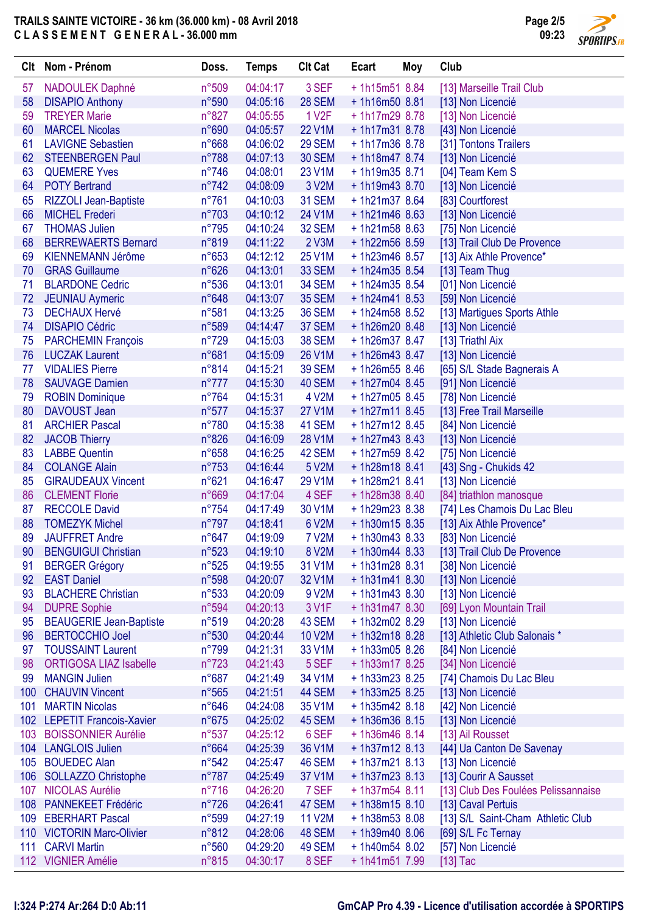

| Clt | Nom - Prénom                   | Doss.          | <b>Temps</b> | <b>Clt Cat</b>     | Ecart            | Moy | Club                                |
|-----|--------------------------------|----------------|--------------|--------------------|------------------|-----|-------------------------------------|
| 57  | NADOULEK Daphné                | n°509          | 04:04:17     | 3 SEF              | $+1h15m518.84$   |     | [13] Marseille Trail Club           |
| 58  | <b>DISAPIO Anthony</b>         | n°590          | 04:05:16     | <b>28 SEM</b>      | $+1h16m508.81$   |     | [13] Non Licencié                   |
| 59  | <b>TREYER Marie</b>            | $n^{\circ}827$ | 04:05:55     | 1 V <sub>2</sub> F | + 1h17m29 8.78   |     | [13] Non Licencié                   |
| 60  | <b>MARCEL Nicolas</b>          | n°690          | 04:05:57     | 22 V1M             | $+1h17m318.78$   |     | [43] Non Licencié                   |
| 61  | <b>LAVIGNE Sebastien</b>       | n°668          | 04:06:02     | <b>29 SEM</b>      | +1h17m36 8.78    |     | [31] Tontons Trailers               |
| 62  | <b>STEENBERGEN Paul</b>        | n°788          | 04:07:13     | <b>30 SEM</b>      | $+1h18m478.74$   |     | [13] Non Licencié                   |
| 63  | <b>QUEMERE Yves</b>            | $n^{\circ}746$ | 04:08:01     | 23 V1M             | $+1h19m358.71$   |     | [04] Team Kem S                     |
| 64  | <b>POTY Bertrand</b>           | $n^{\circ}742$ | 04:08:09     | 3 V2M              | $+1h19m438.70$   |     | [13] Non Licencié                   |
| 65  | <b>RIZZOLI Jean-Baptiste</b>   | $n^{\circ}761$ | 04:10:03     | <b>31 SEM</b>      | $+1h21m378.64$   |     | [83] Courtforest                    |
| 66  | <b>MICHEL Frederi</b>          | $n^{\circ}703$ | 04:10:12     | 24 V1M             | $+1h21m468.63$   |     | [13] Non Licencié                   |
| 67  | <b>THOMAS Julien</b>           | $n^{\circ}795$ | 04:10:24     | <b>32 SEM</b>      | $+1h21m588.63$   |     | [75] Non Licencié                   |
| 68  | <b>BERREWAERTS Bernard</b>     | n°819          | 04:11:22     | 2 V3M              | + 1h22m56 8.59   |     | [13] Trail Club De Provence         |
| 69  | <b>KIENNEMANN Jérôme</b>       | $n^{\circ}653$ | 04:12:12     | 25 V1M             | +1h23m46 8.57    |     | [13] Aix Athle Provence*            |
| 70  | <b>GRAS Guillaume</b>          | $n^{\circ}626$ | 04:13:01     | <b>33 SEM</b>      | $+1h24m358.54$   |     | [13] Team Thug                      |
| 71  | <b>BLARDONE Cedric</b>         | n°536          | 04:13:01     | <b>34 SEM</b>      | $+1h24m358.54$   |     | [01] Non Licencié                   |
| 72  | <b>JEUNIAU Aymeric</b>         | n°648          | 04:13:07     | <b>35 SEM</b>      | $+1h24m418.53$   |     | [59] Non Licencié                   |
| 73  | <b>DECHAUX Hervé</b>           | n°581          | 04:13:25     | <b>36 SEM</b>      | $+1h24m58$ 8.52  |     | [13] Martigues Sports Athle         |
| 74  | <b>DISAPIO Cédric</b>          | n°589          | 04:14:47     | 37 SEM             | $+1h26m208.48$   |     | [13] Non Licencié                   |
| 75  | <b>PARCHEMIN François</b>      | $n^{\circ}729$ | 04:15:03     | <b>38 SEM</b>      | +1h26m37 8.47    |     | [13] Triathl Aix                    |
| 76  | <b>LUCZAK Laurent</b>          | n°681          | 04:15:09     | 26 V1M             | +1h26m43 8.47    |     | [13] Non Licencié                   |
| 77  | <b>VIDALIES Pierre</b>         | n°814          | 04:15:21     | <b>39 SEM</b>      | $+1h26m558.46$   |     | [65] S/L Stade Bagnerais A          |
| 78  | <b>SAUVAGE Damien</b>          | $n^{\circ}777$ | 04:15:30     | 40 SEM             | $+1h27m04$ 8.45  |     | [91] Non Licencié                   |
| 79  | <b>ROBIN Dominique</b>         | $n^{\circ}764$ | 04:15:31     | 4 V2M              | +1h27m05 8.45    |     | [78] Non Licencié                   |
| 80  | DAVOUST Jean                   | $n^{\circ}577$ | 04:15:37     | <b>27 V1M</b>      | $+1h27m118.45$   |     | [13] Free Trail Marseille           |
| 81  | <b>ARCHIER Pascal</b>          | $n^{\circ}780$ | 04:15:38     | 41 SEM             | + 1h27m12 8.45   |     | [84] Non Licencié                   |
| 82  | <b>JACOB Thierry</b>           | n°826          | 04:16:09     | 28 V1M             | $+1h27m438.43$   |     | [13] Non Licencié                   |
| 83  | <b>LABBE Quentin</b>           | n°658          | 04:16:25     | 42 SEM             | + 1h27m59 8.42   |     | [75] Non Licencié                   |
| 84  | <b>COLANGE Alain</b>           | $n^{\circ}753$ | 04:16:44     | 5 V2M              | $+1h28m188.41$   |     | [43] Sng - Chukids 42               |
| 85  | <b>GIRAUDEAUX Vincent</b>      | n°621          | 04:16:47     | 29 V1M             | $+1h28m218.41$   |     | [13] Non Licencié                   |
| 86  | <b>CLEMENT Florie</b>          | n°669          | 04:17:04     | 4 SEF              | +1h28m38 8.40    |     | [84] triathlon manosque             |
| 87  | <b>RECCOLE David</b>           | $n^{\circ}754$ | 04:17:49     | 30 V1M             | + 1h29m23 8.38   |     | [74] Les Chamois Du Lac Bleu        |
| 88  | <b>TOMEZYK Michel</b>          | $n^{\circ}797$ | 04:18:41     | 6 V2M              | $+1h30m158.35$   |     | [13] Aix Athle Provence*            |
| 89  | <b>JAUFFRET Andre</b>          | $n^{\circ}647$ | 04:19:09     | <b>7 V2M</b>       | + 1h30m43 8.33   |     | [83] Non Licencié                   |
| 90  | <b>BENGUIGUI Christian</b>     | n°523          | 04:19:10     | 8 V2M              | $+1h30m448.33$   |     | [13] Trail Club De Provence         |
| 91  | <b>BERGER Grégory</b>          | n°525          | 04:19:55     | 31 V1M             | $+1h31m28$ 8.31  |     | [38] Non Licencié                   |
| 92  | <b>EAST Daniel</b>             | n°598          | 04:20:07     | 32 V1M             | $+1h31m418.30$   |     | [13] Non Licencié                   |
| 93  | <b>BLACHERE Christian</b>      | $n^{\circ}533$ | 04:20:09     | 9 V2M              | $+1h31m438.30$   |     | [13] Non Licencié                   |
| 94  | <b>DUPRE Sophie</b>            | n°594          | 04:20:13     | 3 V1F              | $+1h31m478.30$   |     | [69] Lyon Mountain Trail            |
| 95  | <b>BEAUGERIE Jean-Baptiste</b> | $n^{\circ}519$ | 04:20:28     | 43 SEM             | +1h32m02 8.29    |     | [13] Non Licencié                   |
| 96  | <b>BERTOCCHIO Joel</b>         | n°530          | 04:20:44     | <b>10 V2M</b>      | $+1h32m18$ 8.28  |     | [13] Athletic Club Salonais *       |
| 97  | <b>TOUSSAINT Laurent</b>       | n°799          | 04:21:31     | 33 V1M             | $+1h33m058.26$   |     | [84] Non Licencié                   |
| 98  | <b>ORTIGOSA LIAZ Isabelle</b>  | $n^{\circ}723$ | 04:21:43     | 5 SEF              | $+1h33m178.25$   |     | [34] Non Licencié                   |
| 99  | <b>MANGIN Julien</b>           | $n^{\circ}687$ | 04:21:49     | 34 V1M             | $+ 1h33m23$ 8.25 |     | [74] Chamois Du Lac Bleu            |
| 100 | <b>CHAUVIN Vincent</b>         | $n^{\circ}565$ | 04:21:51     | 44 SEM             | $+1h33m258.25$   |     | [13] Non Licencié                   |
| 101 | <b>MARTIN Nicolas</b>          | $n^{\circ}646$ | 04:24:08     | 35 V1M             | $+1h35m428.18$   |     | [42] Non Licencié                   |
|     | 102 LEPETIT Francois-Xavier    | $n^{\circ}675$ | 04:25:02     | 45 SEM             | $+1h36m368.15$   |     | [13] Non Licencié                   |
| 103 | <b>BOISSONNIER Aurélie</b>     | $n^{\circ}537$ | 04:25:12     | 6 SEF              | $+1h36m468.14$   |     | [13] Ail Rousset                    |
|     | 104 LANGLOIS Julien            | n°664          | 04:25:39     | 36 V1M             | $+1h37m12$ 8.13  |     | [44] Ua Canton De Savenay           |
| 105 | <b>BOUEDEC Alan</b>            | n°542          | 04:25:47     | 46 SEM             | $+1h37m218.13$   |     | [13] Non Licencié                   |
|     | 106 SOLLAZZO Christophe        | $n^{\circ}787$ | 04:25:49     | 37 V1M             | $+1h37m23$ 8.13  |     | [13] Courir A Sausset               |
| 107 | <b>NICOLAS Aurélie</b>         | $n^{\circ}716$ | 04:26:20     | 7 SEF              | $+1h37m548.11$   |     | [13] Club Des Foulées Pelissannaise |
| 108 | <b>PANNEKEET Frédéric</b>      | $n^{\circ}726$ | 04:26:41     | 47 SEM             | $+1h38m158.10$   |     | [13] Caval Pertuis                  |
|     | 109 EBERHART Pascal            | n°599          | 04:27:19     | <b>11 V2M</b>      | + 1h38m53 8.08   |     | [13] S/L Saint-Cham Athletic Club   |
|     | 110 VICTORIN Marc-Olivier      | n°812          | 04:28:06     | 48 SEM             | $+1h39m408.06$   |     | [69] S/L Fc Ternay                  |
| 111 | <b>CARVI Martin</b>            | n°560          | 04:29:20     | 49 SEM             | + 1h40m54 8.02   |     | [57] Non Licencié                   |
|     | 112 VIGNIER Amélie             | n°815          | 04:30:17     | 8 SEF              | $+1h41m517.99$   |     | $[13]$ Tac                          |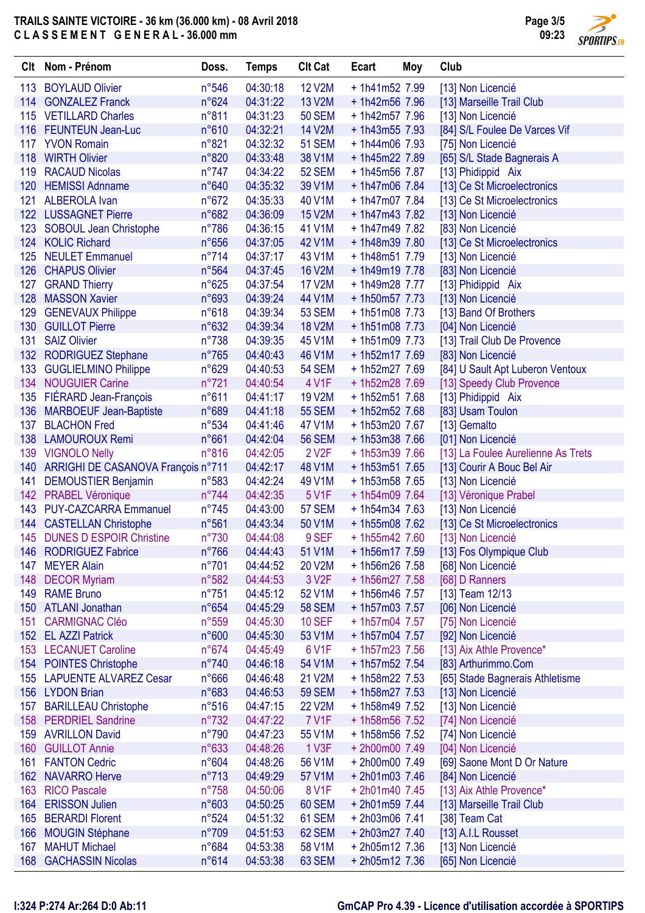

| 04:30:18<br><b>BOYLAUD Olivier</b><br>$n^{\circ}546$<br><b>12 V2M</b><br>$+1h41m527.99$<br>[13] Non Licencié<br>113<br><b>GONZALEZ Franck</b><br>$n^{\circ}624$<br>04:31:22<br>13 V2M<br>+ 1h42m56 7.96<br>114<br>[13] Marseille Trail Club<br>115 VETILLARD Charles<br>$n^{\circ}811$<br>04:31:23<br><b>50 SEM</b><br>+ 1h42m57 7.96<br>[13] Non Licencié<br>n°610<br>04:32:21<br><b>FEUNTEUN Jean-Luc</b><br><b>14 V2M</b><br>$+1h43m557.93$<br>[84] S/L Foulee De Varces Vif<br>116<br>n°821<br>04:32:32<br><b>51 SEM</b><br>$+1h44m06$ 7.93<br>117 YVON Romain<br>[75] Non Licencié<br>118<br><b>WIRTH Olivier</b><br>n°820<br>04:33:48<br>38 V1M<br>+ 1h45m22 7.89<br>[65] S/L Stade Bagnerais A<br><b>RACAUD Nicolas</b><br>$n^{\circ}747$<br>04:34:22<br>119<br><b>52 SEM</b><br>+1h45m56 7.87<br>[13] Phidippid Aix<br><b>HEMISSI Adnname</b><br>n°640<br>39 V1M<br>120<br>04:35:32<br>$+1h47m06$ 7.84<br>[13] Ce St Microelectronics<br>$n^{\circ}672$<br>121<br><b>ALBEROLA Ivan</b><br>04:35:33<br>40 V1M<br>+ 1h47m07 7.84<br>[13] Ce St Microelectronics<br>n°682<br>122 LUSSAGNET Pierre<br>04:36:09<br><b>15 V2M</b><br>$+1h47m437.82$<br>[13] Non Licencié<br>$n^{\circ}786$<br><b>SOBOUL Jean Christophe</b><br>04:36:15<br>41 V1M<br>+ 1h47m49 7.82<br>[83] Non Licencié<br>123<br>124<br>$n^{\circ}656$<br>04:37:05<br>42 V1M<br><b>KOLIC Richard</b><br>+ 1h48m39 7.80<br>[13] Ce St Microelectronics<br>$n^{\circ}714$<br>125<br><b>NEULET Emmanuel</b><br>04:37:17<br>43 V1M<br>$+1h48m517.79$<br>[13] Non Licencié<br>126<br><b>CHAPUS Olivier</b><br>$n^{\circ}564$<br>04:37:45<br><b>16 V2M</b><br>+ 1h49m19 7.78<br>[83] Non Licencié<br>$n^{\circ}625$<br>127<br><b>GRAND Thierry</b><br>04:37:54<br><b>17 V2M</b><br>+1h49m28 7.77<br>[13] Phidippid Aix<br><b>MASSON Xavier</b><br>128<br>n°693<br>04:39:24<br>44 V1M<br>+ 1h50m57 7.73<br>[13] Non Licencié<br>n°618<br>04:39:34<br><b>53 SEM</b><br><b>GENEVAUX Philippe</b><br>$+1h51m08$ 7.73<br>[13] Band Of Brothers<br>129<br>n°632<br>04:39:34<br><b>18 V2M</b><br>130<br><b>GUILLOT Pierre</b><br>$+1h51m08$ 7.73<br>[04] Non Licencié<br><b>SAIZ Olivier</b><br>$n^{\circ}738$<br>$+1h51m097.73$<br>131<br>04:39:35<br>45 V1M<br>[13] Trail Club De Provence<br>132<br>$n^{\circ}765$<br>46 V1M<br><b>RODRIGUEZ Stephane</b><br>04:40:43<br>+ 1h52m17 7.69<br>[83] Non Licencié<br>133<br><b>GUGLIELMINO Philippe</b><br>n°629<br>04:40:53<br><b>54 SEM</b><br>+ 1h52m27 7.69<br>[84] U Sault Apt Luberon Ventoux<br><b>NOUGUIER Carine</b><br>$n^{\circ}721$<br>134<br>04:40:54<br>4 V1F<br>+ 1h52m28 7.69<br>[13] Speedy Club Provence<br>FIÉRARD Jean-François<br>n°611<br>135<br>04:41:17<br><b>19 V2M</b><br>$+1h52m517.68$<br>[13] Phidippid Aix<br>n°689<br><b>55 SEM</b><br>136<br><b>MARBOEUF Jean-Baptiste</b><br>04:41:18<br>+ 1h52m52 7.68<br>[83] Usam Toulon<br>n°534<br>137<br><b>BLACHON Fred</b><br>04:41:46<br>47 V1M<br>+1h53m20 7.67<br>[13] Gemalto<br>n°661<br>138<br><b>LAMOUROUX Remi</b><br>04:42:04<br><b>56 SEM</b><br>+ 1h53m38 7.66<br>[01] Non Licencié<br><b>VIGNOLO Nelly</b><br>$n^{\circ}816$<br>04:42:05<br>2 V <sub>2</sub> F<br>+ 1h53m39 7.66<br>[13] La Foulee Aurelienne As Trets<br>139<br>ARRIGHI DE CASANOVA François n°711<br>04:42:17<br>48 V1M<br>$+1h53m517.65$<br>[13] Courir A Bouc Bel Air<br>140<br><b>DEMOUSTIER Benjamin</b><br>04:42:24<br>[13] Non Licencié<br>141<br>n°583<br>49 V1M<br>+ 1h53m58 7.65<br>$n^{\circ}744$<br>5 V1F<br>142 PRABEL Véronique<br>04:42:35<br>$+1h54m097.64$<br>[13] Véronique Prabel | Clt | Nom - Prénom | Doss. | <b>Temps</b> | <b>Clt Cat</b> | Ecart | Moy | Club |
|-----------------------------------------------------------------------------------------------------------------------------------------------------------------------------------------------------------------------------------------------------------------------------------------------------------------------------------------------------------------------------------------------------------------------------------------------------------------------------------------------------------------------------------------------------------------------------------------------------------------------------------------------------------------------------------------------------------------------------------------------------------------------------------------------------------------------------------------------------------------------------------------------------------------------------------------------------------------------------------------------------------------------------------------------------------------------------------------------------------------------------------------------------------------------------------------------------------------------------------------------------------------------------------------------------------------------------------------------------------------------------------------------------------------------------------------------------------------------------------------------------------------------------------------------------------------------------------------------------------------------------------------------------------------------------------------------------------------------------------------------------------------------------------------------------------------------------------------------------------------------------------------------------------------------------------------------------------------------------------------------------------------------------------------------------------------------------------------------------------------------------------------------------------------------------------------------------------------------------------------------------------------------------------------------------------------------------------------------------------------------------------------------------------------------------------------------------------------------------------------------------------------------------------------------------------------------------------------------------------------------------------------------------------------------------------------------------------------------------------------------------------------------------------------------------------------------------------------------------------------------------------------------------------------------------------------------------------------------------------------------------------------------------------------------------------------------------------------------------------------------------------------------------------------------------------------------------------------------------------------------------------------------------------------------------------------------------------------------------------------------------------------------------------------------------------------------------------------------------------------------------------------------------------------------------------------|-----|--------------|-------|--------------|----------------|-------|-----|------|
|                                                                                                                                                                                                                                                                                                                                                                                                                                                                                                                                                                                                                                                                                                                                                                                                                                                                                                                                                                                                                                                                                                                                                                                                                                                                                                                                                                                                                                                                                                                                                                                                                                                                                                                                                                                                                                                                                                                                                                                                                                                                                                                                                                                                                                                                                                                                                                                                                                                                                                                                                                                                                                                                                                                                                                                                                                                                                                                                                                                                                                                                                                                                                                                                                                                                                                                                                                                                                                                                                                                                                                 |     |              |       |              |                |       |     |      |
|                                                                                                                                                                                                                                                                                                                                                                                                                                                                                                                                                                                                                                                                                                                                                                                                                                                                                                                                                                                                                                                                                                                                                                                                                                                                                                                                                                                                                                                                                                                                                                                                                                                                                                                                                                                                                                                                                                                                                                                                                                                                                                                                                                                                                                                                                                                                                                                                                                                                                                                                                                                                                                                                                                                                                                                                                                                                                                                                                                                                                                                                                                                                                                                                                                                                                                                                                                                                                                                                                                                                                                 |     |              |       |              |                |       |     |      |
|                                                                                                                                                                                                                                                                                                                                                                                                                                                                                                                                                                                                                                                                                                                                                                                                                                                                                                                                                                                                                                                                                                                                                                                                                                                                                                                                                                                                                                                                                                                                                                                                                                                                                                                                                                                                                                                                                                                                                                                                                                                                                                                                                                                                                                                                                                                                                                                                                                                                                                                                                                                                                                                                                                                                                                                                                                                                                                                                                                                                                                                                                                                                                                                                                                                                                                                                                                                                                                                                                                                                                                 |     |              |       |              |                |       |     |      |
|                                                                                                                                                                                                                                                                                                                                                                                                                                                                                                                                                                                                                                                                                                                                                                                                                                                                                                                                                                                                                                                                                                                                                                                                                                                                                                                                                                                                                                                                                                                                                                                                                                                                                                                                                                                                                                                                                                                                                                                                                                                                                                                                                                                                                                                                                                                                                                                                                                                                                                                                                                                                                                                                                                                                                                                                                                                                                                                                                                                                                                                                                                                                                                                                                                                                                                                                                                                                                                                                                                                                                                 |     |              |       |              |                |       |     |      |
|                                                                                                                                                                                                                                                                                                                                                                                                                                                                                                                                                                                                                                                                                                                                                                                                                                                                                                                                                                                                                                                                                                                                                                                                                                                                                                                                                                                                                                                                                                                                                                                                                                                                                                                                                                                                                                                                                                                                                                                                                                                                                                                                                                                                                                                                                                                                                                                                                                                                                                                                                                                                                                                                                                                                                                                                                                                                                                                                                                                                                                                                                                                                                                                                                                                                                                                                                                                                                                                                                                                                                                 |     |              |       |              |                |       |     |      |
|                                                                                                                                                                                                                                                                                                                                                                                                                                                                                                                                                                                                                                                                                                                                                                                                                                                                                                                                                                                                                                                                                                                                                                                                                                                                                                                                                                                                                                                                                                                                                                                                                                                                                                                                                                                                                                                                                                                                                                                                                                                                                                                                                                                                                                                                                                                                                                                                                                                                                                                                                                                                                                                                                                                                                                                                                                                                                                                                                                                                                                                                                                                                                                                                                                                                                                                                                                                                                                                                                                                                                                 |     |              |       |              |                |       |     |      |
|                                                                                                                                                                                                                                                                                                                                                                                                                                                                                                                                                                                                                                                                                                                                                                                                                                                                                                                                                                                                                                                                                                                                                                                                                                                                                                                                                                                                                                                                                                                                                                                                                                                                                                                                                                                                                                                                                                                                                                                                                                                                                                                                                                                                                                                                                                                                                                                                                                                                                                                                                                                                                                                                                                                                                                                                                                                                                                                                                                                                                                                                                                                                                                                                                                                                                                                                                                                                                                                                                                                                                                 |     |              |       |              |                |       |     |      |
|                                                                                                                                                                                                                                                                                                                                                                                                                                                                                                                                                                                                                                                                                                                                                                                                                                                                                                                                                                                                                                                                                                                                                                                                                                                                                                                                                                                                                                                                                                                                                                                                                                                                                                                                                                                                                                                                                                                                                                                                                                                                                                                                                                                                                                                                                                                                                                                                                                                                                                                                                                                                                                                                                                                                                                                                                                                                                                                                                                                                                                                                                                                                                                                                                                                                                                                                                                                                                                                                                                                                                                 |     |              |       |              |                |       |     |      |
|                                                                                                                                                                                                                                                                                                                                                                                                                                                                                                                                                                                                                                                                                                                                                                                                                                                                                                                                                                                                                                                                                                                                                                                                                                                                                                                                                                                                                                                                                                                                                                                                                                                                                                                                                                                                                                                                                                                                                                                                                                                                                                                                                                                                                                                                                                                                                                                                                                                                                                                                                                                                                                                                                                                                                                                                                                                                                                                                                                                                                                                                                                                                                                                                                                                                                                                                                                                                                                                                                                                                                                 |     |              |       |              |                |       |     |      |
|                                                                                                                                                                                                                                                                                                                                                                                                                                                                                                                                                                                                                                                                                                                                                                                                                                                                                                                                                                                                                                                                                                                                                                                                                                                                                                                                                                                                                                                                                                                                                                                                                                                                                                                                                                                                                                                                                                                                                                                                                                                                                                                                                                                                                                                                                                                                                                                                                                                                                                                                                                                                                                                                                                                                                                                                                                                                                                                                                                                                                                                                                                                                                                                                                                                                                                                                                                                                                                                                                                                                                                 |     |              |       |              |                |       |     |      |
|                                                                                                                                                                                                                                                                                                                                                                                                                                                                                                                                                                                                                                                                                                                                                                                                                                                                                                                                                                                                                                                                                                                                                                                                                                                                                                                                                                                                                                                                                                                                                                                                                                                                                                                                                                                                                                                                                                                                                                                                                                                                                                                                                                                                                                                                                                                                                                                                                                                                                                                                                                                                                                                                                                                                                                                                                                                                                                                                                                                                                                                                                                                                                                                                                                                                                                                                                                                                                                                                                                                                                                 |     |              |       |              |                |       |     |      |
|                                                                                                                                                                                                                                                                                                                                                                                                                                                                                                                                                                                                                                                                                                                                                                                                                                                                                                                                                                                                                                                                                                                                                                                                                                                                                                                                                                                                                                                                                                                                                                                                                                                                                                                                                                                                                                                                                                                                                                                                                                                                                                                                                                                                                                                                                                                                                                                                                                                                                                                                                                                                                                                                                                                                                                                                                                                                                                                                                                                                                                                                                                                                                                                                                                                                                                                                                                                                                                                                                                                                                                 |     |              |       |              |                |       |     |      |
|                                                                                                                                                                                                                                                                                                                                                                                                                                                                                                                                                                                                                                                                                                                                                                                                                                                                                                                                                                                                                                                                                                                                                                                                                                                                                                                                                                                                                                                                                                                                                                                                                                                                                                                                                                                                                                                                                                                                                                                                                                                                                                                                                                                                                                                                                                                                                                                                                                                                                                                                                                                                                                                                                                                                                                                                                                                                                                                                                                                                                                                                                                                                                                                                                                                                                                                                                                                                                                                                                                                                                                 |     |              |       |              |                |       |     |      |
|                                                                                                                                                                                                                                                                                                                                                                                                                                                                                                                                                                                                                                                                                                                                                                                                                                                                                                                                                                                                                                                                                                                                                                                                                                                                                                                                                                                                                                                                                                                                                                                                                                                                                                                                                                                                                                                                                                                                                                                                                                                                                                                                                                                                                                                                                                                                                                                                                                                                                                                                                                                                                                                                                                                                                                                                                                                                                                                                                                                                                                                                                                                                                                                                                                                                                                                                                                                                                                                                                                                                                                 |     |              |       |              |                |       |     |      |
|                                                                                                                                                                                                                                                                                                                                                                                                                                                                                                                                                                                                                                                                                                                                                                                                                                                                                                                                                                                                                                                                                                                                                                                                                                                                                                                                                                                                                                                                                                                                                                                                                                                                                                                                                                                                                                                                                                                                                                                                                                                                                                                                                                                                                                                                                                                                                                                                                                                                                                                                                                                                                                                                                                                                                                                                                                                                                                                                                                                                                                                                                                                                                                                                                                                                                                                                                                                                                                                                                                                                                                 |     |              |       |              |                |       |     |      |
|                                                                                                                                                                                                                                                                                                                                                                                                                                                                                                                                                                                                                                                                                                                                                                                                                                                                                                                                                                                                                                                                                                                                                                                                                                                                                                                                                                                                                                                                                                                                                                                                                                                                                                                                                                                                                                                                                                                                                                                                                                                                                                                                                                                                                                                                                                                                                                                                                                                                                                                                                                                                                                                                                                                                                                                                                                                                                                                                                                                                                                                                                                                                                                                                                                                                                                                                                                                                                                                                                                                                                                 |     |              |       |              |                |       |     |      |
|                                                                                                                                                                                                                                                                                                                                                                                                                                                                                                                                                                                                                                                                                                                                                                                                                                                                                                                                                                                                                                                                                                                                                                                                                                                                                                                                                                                                                                                                                                                                                                                                                                                                                                                                                                                                                                                                                                                                                                                                                                                                                                                                                                                                                                                                                                                                                                                                                                                                                                                                                                                                                                                                                                                                                                                                                                                                                                                                                                                                                                                                                                                                                                                                                                                                                                                                                                                                                                                                                                                                                                 |     |              |       |              |                |       |     |      |
|                                                                                                                                                                                                                                                                                                                                                                                                                                                                                                                                                                                                                                                                                                                                                                                                                                                                                                                                                                                                                                                                                                                                                                                                                                                                                                                                                                                                                                                                                                                                                                                                                                                                                                                                                                                                                                                                                                                                                                                                                                                                                                                                                                                                                                                                                                                                                                                                                                                                                                                                                                                                                                                                                                                                                                                                                                                                                                                                                                                                                                                                                                                                                                                                                                                                                                                                                                                                                                                                                                                                                                 |     |              |       |              |                |       |     |      |
|                                                                                                                                                                                                                                                                                                                                                                                                                                                                                                                                                                                                                                                                                                                                                                                                                                                                                                                                                                                                                                                                                                                                                                                                                                                                                                                                                                                                                                                                                                                                                                                                                                                                                                                                                                                                                                                                                                                                                                                                                                                                                                                                                                                                                                                                                                                                                                                                                                                                                                                                                                                                                                                                                                                                                                                                                                                                                                                                                                                                                                                                                                                                                                                                                                                                                                                                                                                                                                                                                                                                                                 |     |              |       |              |                |       |     |      |
|                                                                                                                                                                                                                                                                                                                                                                                                                                                                                                                                                                                                                                                                                                                                                                                                                                                                                                                                                                                                                                                                                                                                                                                                                                                                                                                                                                                                                                                                                                                                                                                                                                                                                                                                                                                                                                                                                                                                                                                                                                                                                                                                                                                                                                                                                                                                                                                                                                                                                                                                                                                                                                                                                                                                                                                                                                                                                                                                                                                                                                                                                                                                                                                                                                                                                                                                                                                                                                                                                                                                                                 |     |              |       |              |                |       |     |      |
|                                                                                                                                                                                                                                                                                                                                                                                                                                                                                                                                                                                                                                                                                                                                                                                                                                                                                                                                                                                                                                                                                                                                                                                                                                                                                                                                                                                                                                                                                                                                                                                                                                                                                                                                                                                                                                                                                                                                                                                                                                                                                                                                                                                                                                                                                                                                                                                                                                                                                                                                                                                                                                                                                                                                                                                                                                                                                                                                                                                                                                                                                                                                                                                                                                                                                                                                                                                                                                                                                                                                                                 |     |              |       |              |                |       |     |      |
|                                                                                                                                                                                                                                                                                                                                                                                                                                                                                                                                                                                                                                                                                                                                                                                                                                                                                                                                                                                                                                                                                                                                                                                                                                                                                                                                                                                                                                                                                                                                                                                                                                                                                                                                                                                                                                                                                                                                                                                                                                                                                                                                                                                                                                                                                                                                                                                                                                                                                                                                                                                                                                                                                                                                                                                                                                                                                                                                                                                                                                                                                                                                                                                                                                                                                                                                                                                                                                                                                                                                                                 |     |              |       |              |                |       |     |      |
|                                                                                                                                                                                                                                                                                                                                                                                                                                                                                                                                                                                                                                                                                                                                                                                                                                                                                                                                                                                                                                                                                                                                                                                                                                                                                                                                                                                                                                                                                                                                                                                                                                                                                                                                                                                                                                                                                                                                                                                                                                                                                                                                                                                                                                                                                                                                                                                                                                                                                                                                                                                                                                                                                                                                                                                                                                                                                                                                                                                                                                                                                                                                                                                                                                                                                                                                                                                                                                                                                                                                                                 |     |              |       |              |                |       |     |      |
|                                                                                                                                                                                                                                                                                                                                                                                                                                                                                                                                                                                                                                                                                                                                                                                                                                                                                                                                                                                                                                                                                                                                                                                                                                                                                                                                                                                                                                                                                                                                                                                                                                                                                                                                                                                                                                                                                                                                                                                                                                                                                                                                                                                                                                                                                                                                                                                                                                                                                                                                                                                                                                                                                                                                                                                                                                                                                                                                                                                                                                                                                                                                                                                                                                                                                                                                                                                                                                                                                                                                                                 |     |              |       |              |                |       |     |      |
|                                                                                                                                                                                                                                                                                                                                                                                                                                                                                                                                                                                                                                                                                                                                                                                                                                                                                                                                                                                                                                                                                                                                                                                                                                                                                                                                                                                                                                                                                                                                                                                                                                                                                                                                                                                                                                                                                                                                                                                                                                                                                                                                                                                                                                                                                                                                                                                                                                                                                                                                                                                                                                                                                                                                                                                                                                                                                                                                                                                                                                                                                                                                                                                                                                                                                                                                                                                                                                                                                                                                                                 |     |              |       |              |                |       |     |      |
|                                                                                                                                                                                                                                                                                                                                                                                                                                                                                                                                                                                                                                                                                                                                                                                                                                                                                                                                                                                                                                                                                                                                                                                                                                                                                                                                                                                                                                                                                                                                                                                                                                                                                                                                                                                                                                                                                                                                                                                                                                                                                                                                                                                                                                                                                                                                                                                                                                                                                                                                                                                                                                                                                                                                                                                                                                                                                                                                                                                                                                                                                                                                                                                                                                                                                                                                                                                                                                                                                                                                                                 |     |              |       |              |                |       |     |      |
|                                                                                                                                                                                                                                                                                                                                                                                                                                                                                                                                                                                                                                                                                                                                                                                                                                                                                                                                                                                                                                                                                                                                                                                                                                                                                                                                                                                                                                                                                                                                                                                                                                                                                                                                                                                                                                                                                                                                                                                                                                                                                                                                                                                                                                                                                                                                                                                                                                                                                                                                                                                                                                                                                                                                                                                                                                                                                                                                                                                                                                                                                                                                                                                                                                                                                                                                                                                                                                                                                                                                                                 |     |              |       |              |                |       |     |      |
|                                                                                                                                                                                                                                                                                                                                                                                                                                                                                                                                                                                                                                                                                                                                                                                                                                                                                                                                                                                                                                                                                                                                                                                                                                                                                                                                                                                                                                                                                                                                                                                                                                                                                                                                                                                                                                                                                                                                                                                                                                                                                                                                                                                                                                                                                                                                                                                                                                                                                                                                                                                                                                                                                                                                                                                                                                                                                                                                                                                                                                                                                                                                                                                                                                                                                                                                                                                                                                                                                                                                                                 |     |              |       |              |                |       |     |      |
|                                                                                                                                                                                                                                                                                                                                                                                                                                                                                                                                                                                                                                                                                                                                                                                                                                                                                                                                                                                                                                                                                                                                                                                                                                                                                                                                                                                                                                                                                                                                                                                                                                                                                                                                                                                                                                                                                                                                                                                                                                                                                                                                                                                                                                                                                                                                                                                                                                                                                                                                                                                                                                                                                                                                                                                                                                                                                                                                                                                                                                                                                                                                                                                                                                                                                                                                                                                                                                                                                                                                                                 |     |              |       |              |                |       |     |      |
|                                                                                                                                                                                                                                                                                                                                                                                                                                                                                                                                                                                                                                                                                                                                                                                                                                                                                                                                                                                                                                                                                                                                                                                                                                                                                                                                                                                                                                                                                                                                                                                                                                                                                                                                                                                                                                                                                                                                                                                                                                                                                                                                                                                                                                                                                                                                                                                                                                                                                                                                                                                                                                                                                                                                                                                                                                                                                                                                                                                                                                                                                                                                                                                                                                                                                                                                                                                                                                                                                                                                                                 |     |              |       |              |                |       |     |      |
|                                                                                                                                                                                                                                                                                                                                                                                                                                                                                                                                                                                                                                                                                                                                                                                                                                                                                                                                                                                                                                                                                                                                                                                                                                                                                                                                                                                                                                                                                                                                                                                                                                                                                                                                                                                                                                                                                                                                                                                                                                                                                                                                                                                                                                                                                                                                                                                                                                                                                                                                                                                                                                                                                                                                                                                                                                                                                                                                                                                                                                                                                                                                                                                                                                                                                                                                                                                                                                                                                                                                                                 |     |              |       |              |                |       |     |      |
| 143 PUY-CAZCARRA Emmanuel<br>$n^{\circ}745$<br>57 SEM<br>04:43:00<br>$+1h54m347.63$<br>[13] Non Licencié                                                                                                                                                                                                                                                                                                                                                                                                                                                                                                                                                                                                                                                                                                                                                                                                                                                                                                                                                                                                                                                                                                                                                                                                                                                                                                                                                                                                                                                                                                                                                                                                                                                                                                                                                                                                                                                                                                                                                                                                                                                                                                                                                                                                                                                                                                                                                                                                                                                                                                                                                                                                                                                                                                                                                                                                                                                                                                                                                                                                                                                                                                                                                                                                                                                                                                                                                                                                                                                        |     |              |       |              |                |       |     |      |
| n°561<br>144<br><b>CASTELLAN Christophe</b><br>04:43:34<br>50 V1M<br>+ 1h55m08 7.62<br>[13] Ce St Microelectronics                                                                                                                                                                                                                                                                                                                                                                                                                                                                                                                                                                                                                                                                                                                                                                                                                                                                                                                                                                                                                                                                                                                                                                                                                                                                                                                                                                                                                                                                                                                                                                                                                                                                                                                                                                                                                                                                                                                                                                                                                                                                                                                                                                                                                                                                                                                                                                                                                                                                                                                                                                                                                                                                                                                                                                                                                                                                                                                                                                                                                                                                                                                                                                                                                                                                                                                                                                                                                                              |     |              |       |              |                |       |     |      |
| $n^{\circ}730$<br>145 DUNES D ESPOIR Christine<br>04:44:08<br>9 SEF<br>$+1h55m427.60$<br>[13] Non Licencié                                                                                                                                                                                                                                                                                                                                                                                                                                                                                                                                                                                                                                                                                                                                                                                                                                                                                                                                                                                                                                                                                                                                                                                                                                                                                                                                                                                                                                                                                                                                                                                                                                                                                                                                                                                                                                                                                                                                                                                                                                                                                                                                                                                                                                                                                                                                                                                                                                                                                                                                                                                                                                                                                                                                                                                                                                                                                                                                                                                                                                                                                                                                                                                                                                                                                                                                                                                                                                                      |     |              |       |              |                |       |     |      |
| 146 RODRIGUEZ Fabrice<br>$n^{\circ}766$<br>04:44:43<br>51 V1M<br>+ 1h56m17 7.59<br>[13] Fos Olympique Club                                                                                                                                                                                                                                                                                                                                                                                                                                                                                                                                                                                                                                                                                                                                                                                                                                                                                                                                                                                                                                                                                                                                                                                                                                                                                                                                                                                                                                                                                                                                                                                                                                                                                                                                                                                                                                                                                                                                                                                                                                                                                                                                                                                                                                                                                                                                                                                                                                                                                                                                                                                                                                                                                                                                                                                                                                                                                                                                                                                                                                                                                                                                                                                                                                                                                                                                                                                                                                                      |     |              |       |              |                |       |     |      |
| $n^{\circ}701$<br><b>MEYER Alain</b><br>04:44:52<br>20 V2M<br>+1h56m26 7.58<br>[68] Non Licencié<br>147                                                                                                                                                                                                                                                                                                                                                                                                                                                                                                                                                                                                                                                                                                                                                                                                                                                                                                                                                                                                                                                                                                                                                                                                                                                                                                                                                                                                                                                                                                                                                                                                                                                                                                                                                                                                                                                                                                                                                                                                                                                                                                                                                                                                                                                                                                                                                                                                                                                                                                                                                                                                                                                                                                                                                                                                                                                                                                                                                                                                                                                                                                                                                                                                                                                                                                                                                                                                                                                         |     |              |       |              |                |       |     |      |
| n°582<br>3 V <sub>2</sub> F<br>148<br><b>DECOR Myriam</b><br>04:44:53<br>+ 1h56m27 7.58<br>[68] D Ranners                                                                                                                                                                                                                                                                                                                                                                                                                                                                                                                                                                                                                                                                                                                                                                                                                                                                                                                                                                                                                                                                                                                                                                                                                                                                                                                                                                                                                                                                                                                                                                                                                                                                                                                                                                                                                                                                                                                                                                                                                                                                                                                                                                                                                                                                                                                                                                                                                                                                                                                                                                                                                                                                                                                                                                                                                                                                                                                                                                                                                                                                                                                                                                                                                                                                                                                                                                                                                                                       |     |              |       |              |                |       |     |      |
| $n^{\circ}751$<br>149<br><b>RAME Bruno</b><br>04:45:12<br>52 V1M<br>+ 1h56m46 7.57<br>[13] Team 12/13                                                                                                                                                                                                                                                                                                                                                                                                                                                                                                                                                                                                                                                                                                                                                                                                                                                                                                                                                                                                                                                                                                                                                                                                                                                                                                                                                                                                                                                                                                                                                                                                                                                                                                                                                                                                                                                                                                                                                                                                                                                                                                                                                                                                                                                                                                                                                                                                                                                                                                                                                                                                                                                                                                                                                                                                                                                                                                                                                                                                                                                                                                                                                                                                                                                                                                                                                                                                                                                           |     |              |       |              |                |       |     |      |
| <b>ATLANI Jonathan</b><br>$n^{\circ}654$<br>04:45:29<br>[06] Non Licencié<br>150<br><b>58 SEM</b><br>+ 1h57m03 7.57                                                                                                                                                                                                                                                                                                                                                                                                                                                                                                                                                                                                                                                                                                                                                                                                                                                                                                                                                                                                                                                                                                                                                                                                                                                                                                                                                                                                                                                                                                                                                                                                                                                                                                                                                                                                                                                                                                                                                                                                                                                                                                                                                                                                                                                                                                                                                                                                                                                                                                                                                                                                                                                                                                                                                                                                                                                                                                                                                                                                                                                                                                                                                                                                                                                                                                                                                                                                                                             |     |              |       |              |                |       |     |      |
| n°559<br>04:45:30<br><b>10 SEF</b><br>+ 1h57m04 7.57<br>[75] Non Licencié<br>151<br><b>CARMIGNAC Cléo</b>                                                                                                                                                                                                                                                                                                                                                                                                                                                                                                                                                                                                                                                                                                                                                                                                                                                                                                                                                                                                                                                                                                                                                                                                                                                                                                                                                                                                                                                                                                                                                                                                                                                                                                                                                                                                                                                                                                                                                                                                                                                                                                                                                                                                                                                                                                                                                                                                                                                                                                                                                                                                                                                                                                                                                                                                                                                                                                                                                                                                                                                                                                                                                                                                                                                                                                                                                                                                                                                       |     |              |       |              |                |       |     |      |
| 152 EL AZZI Patrick<br>n°600<br>04:45:30<br>53 V1M<br>$+1h57m04$ 7.57<br>[92] Non Licencié                                                                                                                                                                                                                                                                                                                                                                                                                                                                                                                                                                                                                                                                                                                                                                                                                                                                                                                                                                                                                                                                                                                                                                                                                                                                                                                                                                                                                                                                                                                                                                                                                                                                                                                                                                                                                                                                                                                                                                                                                                                                                                                                                                                                                                                                                                                                                                                                                                                                                                                                                                                                                                                                                                                                                                                                                                                                                                                                                                                                                                                                                                                                                                                                                                                                                                                                                                                                                                                                      |     |              |       |              |                |       |     |      |
| 153 LECANUET Caroline<br>$n^{\circ}674$<br>04:45:49<br>6 V1F<br>[13] Aix Athle Provence*<br>$+1h57m23$ 7.56                                                                                                                                                                                                                                                                                                                                                                                                                                                                                                                                                                                                                                                                                                                                                                                                                                                                                                                                                                                                                                                                                                                                                                                                                                                                                                                                                                                                                                                                                                                                                                                                                                                                                                                                                                                                                                                                                                                                                                                                                                                                                                                                                                                                                                                                                                                                                                                                                                                                                                                                                                                                                                                                                                                                                                                                                                                                                                                                                                                                                                                                                                                                                                                                                                                                                                                                                                                                                                                     |     |              |       |              |                |       |     |      |
| $n^{\circ}740$<br>154 POINTES Christophe<br>04:46:18<br>54 V1M<br>+ 1h57m52 7.54<br>[83] Arthurimmo.Com                                                                                                                                                                                                                                                                                                                                                                                                                                                                                                                                                                                                                                                                                                                                                                                                                                                                                                                                                                                                                                                                                                                                                                                                                                                                                                                                                                                                                                                                                                                                                                                                                                                                                                                                                                                                                                                                                                                                                                                                                                                                                                                                                                                                                                                                                                                                                                                                                                                                                                                                                                                                                                                                                                                                                                                                                                                                                                                                                                                                                                                                                                                                                                                                                                                                                                                                                                                                                                                         |     |              |       |              |                |       |     |      |
| $n^{\circ}666$<br>155 LAPUENTE ALVAREZ Cesar<br>04:46:48<br>21 V2M<br>+ 1h58m22 7.53<br>[65] Stade Bagnerais Athletisme                                                                                                                                                                                                                                                                                                                                                                                                                                                                                                                                                                                                                                                                                                                                                                                                                                                                                                                                                                                                                                                                                                                                                                                                                                                                                                                                                                                                                                                                                                                                                                                                                                                                                                                                                                                                                                                                                                                                                                                                                                                                                                                                                                                                                                                                                                                                                                                                                                                                                                                                                                                                                                                                                                                                                                                                                                                                                                                                                                                                                                                                                                                                                                                                                                                                                                                                                                                                                                         |     |              |       |              |                |       |     |      |
| n°683<br>156 LYDON Brian<br>04:46:53<br><b>59 SEM</b><br>+ 1h58m27 7.53<br>[13] Non Licencié                                                                                                                                                                                                                                                                                                                                                                                                                                                                                                                                                                                                                                                                                                                                                                                                                                                                                                                                                                                                                                                                                                                                                                                                                                                                                                                                                                                                                                                                                                                                                                                                                                                                                                                                                                                                                                                                                                                                                                                                                                                                                                                                                                                                                                                                                                                                                                                                                                                                                                                                                                                                                                                                                                                                                                                                                                                                                                                                                                                                                                                                                                                                                                                                                                                                                                                                                                                                                                                                    |     |              |       |              |                |       |     |      |
| <b>BARILLEAU Christophe</b><br>$n^{\circ}516$<br>04:47:15<br><b>22 V2M</b><br>+ 1h58m49 7.52<br>[13] Non Licencié<br>157                                                                                                                                                                                                                                                                                                                                                                                                                                                                                                                                                                                                                                                                                                                                                                                                                                                                                                                                                                                                                                                                                                                                                                                                                                                                                                                                                                                                                                                                                                                                                                                                                                                                                                                                                                                                                                                                                                                                                                                                                                                                                                                                                                                                                                                                                                                                                                                                                                                                                                                                                                                                                                                                                                                                                                                                                                                                                                                                                                                                                                                                                                                                                                                                                                                                                                                                                                                                                                        |     |              |       |              |                |       |     |      |
| 158 PERDRIEL Sandrine<br>$n^{\circ}732$<br>04:47:22<br>7 V1F<br>+ 1h58m56 7.52<br>[74] Non Licencié                                                                                                                                                                                                                                                                                                                                                                                                                                                                                                                                                                                                                                                                                                                                                                                                                                                                                                                                                                                                                                                                                                                                                                                                                                                                                                                                                                                                                                                                                                                                                                                                                                                                                                                                                                                                                                                                                                                                                                                                                                                                                                                                                                                                                                                                                                                                                                                                                                                                                                                                                                                                                                                                                                                                                                                                                                                                                                                                                                                                                                                                                                                                                                                                                                                                                                                                                                                                                                                             |     |              |       |              |                |       |     |      |
| 159 AVRILLON David<br>$n^{\circ}790$<br>04:47:23<br>55 V1M<br>+ 1h58m56 7.52<br>[74] Non Licencié                                                                                                                                                                                                                                                                                                                                                                                                                                                                                                                                                                                                                                                                                                                                                                                                                                                                                                                                                                                                                                                                                                                                                                                                                                                                                                                                                                                                                                                                                                                                                                                                                                                                                                                                                                                                                                                                                                                                                                                                                                                                                                                                                                                                                                                                                                                                                                                                                                                                                                                                                                                                                                                                                                                                                                                                                                                                                                                                                                                                                                                                                                                                                                                                                                                                                                                                                                                                                                                               |     |              |       |              |                |       |     |      |
| n°633<br>160<br><b>GUILLOT Annie</b><br>04:48:26<br>1 V3F<br>+2h00m00 7.49<br>[04] Non Licencié                                                                                                                                                                                                                                                                                                                                                                                                                                                                                                                                                                                                                                                                                                                                                                                                                                                                                                                                                                                                                                                                                                                                                                                                                                                                                                                                                                                                                                                                                                                                                                                                                                                                                                                                                                                                                                                                                                                                                                                                                                                                                                                                                                                                                                                                                                                                                                                                                                                                                                                                                                                                                                                                                                                                                                                                                                                                                                                                                                                                                                                                                                                                                                                                                                                                                                                                                                                                                                                                 |     |              |       |              |                |       |     |      |
| n°604<br>161<br><b>FANTON Cedric</b><br>04:48:26<br>56 V1M<br>+2h00m00 7.49<br>[69] Saone Mont D Or Nature                                                                                                                                                                                                                                                                                                                                                                                                                                                                                                                                                                                                                                                                                                                                                                                                                                                                                                                                                                                                                                                                                                                                                                                                                                                                                                                                                                                                                                                                                                                                                                                                                                                                                                                                                                                                                                                                                                                                                                                                                                                                                                                                                                                                                                                                                                                                                                                                                                                                                                                                                                                                                                                                                                                                                                                                                                                                                                                                                                                                                                                                                                                                                                                                                                                                                                                                                                                                                                                      |     |              |       |              |                |       |     |      |
| $n^{\circ}713$<br>04:49:29<br>$+ 2h01m03$ 7.46<br>162<br><b>NAVARRO Herve</b><br>57 V1M<br>[84] Non Licencié                                                                                                                                                                                                                                                                                                                                                                                                                                                                                                                                                                                                                                                                                                                                                                                                                                                                                                                                                                                                                                                                                                                                                                                                                                                                                                                                                                                                                                                                                                                                                                                                                                                                                                                                                                                                                                                                                                                                                                                                                                                                                                                                                                                                                                                                                                                                                                                                                                                                                                                                                                                                                                                                                                                                                                                                                                                                                                                                                                                                                                                                                                                                                                                                                                                                                                                                                                                                                                                    |     |              |       |              |                |       |     |      |
| 163<br>$n^{\circ}758$<br><b>RICO Pascale</b><br>04:50:06<br>8 V1F<br>+2h01m40 7.45<br>[13] Aix Athle Provence*                                                                                                                                                                                                                                                                                                                                                                                                                                                                                                                                                                                                                                                                                                                                                                                                                                                                                                                                                                                                                                                                                                                                                                                                                                                                                                                                                                                                                                                                                                                                                                                                                                                                                                                                                                                                                                                                                                                                                                                                                                                                                                                                                                                                                                                                                                                                                                                                                                                                                                                                                                                                                                                                                                                                                                                                                                                                                                                                                                                                                                                                                                                                                                                                                                                                                                                                                                                                                                                  |     |              |       |              |                |       |     |      |
| 164<br><b>ERISSON Julien</b><br>n°603<br>04:50:25<br>60 SEM<br>+2h01m59 7.44<br>[13] Marseille Trail Club                                                                                                                                                                                                                                                                                                                                                                                                                                                                                                                                                                                                                                                                                                                                                                                                                                                                                                                                                                                                                                                                                                                                                                                                                                                                                                                                                                                                                                                                                                                                                                                                                                                                                                                                                                                                                                                                                                                                                                                                                                                                                                                                                                                                                                                                                                                                                                                                                                                                                                                                                                                                                                                                                                                                                                                                                                                                                                                                                                                                                                                                                                                                                                                                                                                                                                                                                                                                                                                       |     |              |       |              |                |       |     |      |
| <b>BERARDI Florent</b><br>$n^{\circ}524$<br>04:51:32<br>61 SEM<br>+2h03m06 7.41<br>[38] Team Cat<br>165                                                                                                                                                                                                                                                                                                                                                                                                                                                                                                                                                                                                                                                                                                                                                                                                                                                                                                                                                                                                                                                                                                                                                                                                                                                                                                                                                                                                                                                                                                                                                                                                                                                                                                                                                                                                                                                                                                                                                                                                                                                                                                                                                                                                                                                                                                                                                                                                                                                                                                                                                                                                                                                                                                                                                                                                                                                                                                                                                                                                                                                                                                                                                                                                                                                                                                                                                                                                                                                         |     |              |       |              |                |       |     |      |
| n°709<br>166<br><b>MOUGIN Stéphane</b><br>04:51:53<br>62 SEM<br>$+ 2h03m277.40$<br>[13] A.I.L Rousset                                                                                                                                                                                                                                                                                                                                                                                                                                                                                                                                                                                                                                                                                                                                                                                                                                                                                                                                                                                                                                                                                                                                                                                                                                                                                                                                                                                                                                                                                                                                                                                                                                                                                                                                                                                                                                                                                                                                                                                                                                                                                                                                                                                                                                                                                                                                                                                                                                                                                                                                                                                                                                                                                                                                                                                                                                                                                                                                                                                                                                                                                                                                                                                                                                                                                                                                                                                                                                                           |     |              |       |              |                |       |     |      |
| n°684<br>167<br><b>MAHUT Michael</b><br>04:53:38<br>58 V1M<br>$+ 2h05m12$ 7.36<br>[13] Non Licencié                                                                                                                                                                                                                                                                                                                                                                                                                                                                                                                                                                                                                                                                                                                                                                                                                                                                                                                                                                                                                                                                                                                                                                                                                                                                                                                                                                                                                                                                                                                                                                                                                                                                                                                                                                                                                                                                                                                                                                                                                                                                                                                                                                                                                                                                                                                                                                                                                                                                                                                                                                                                                                                                                                                                                                                                                                                                                                                                                                                                                                                                                                                                                                                                                                                                                                                                                                                                                                                             |     |              |       |              |                |       |     |      |
| n°614<br>168<br><b>GACHASSIN Nicolas</b><br>04:53:38<br>63 SEM<br>+2h05m12 7.36<br>[65] Non Licencié                                                                                                                                                                                                                                                                                                                                                                                                                                                                                                                                                                                                                                                                                                                                                                                                                                                                                                                                                                                                                                                                                                                                                                                                                                                                                                                                                                                                                                                                                                                                                                                                                                                                                                                                                                                                                                                                                                                                                                                                                                                                                                                                                                                                                                                                                                                                                                                                                                                                                                                                                                                                                                                                                                                                                                                                                                                                                                                                                                                                                                                                                                                                                                                                                                                                                                                                                                                                                                                            |     |              |       |              |                |       |     |      |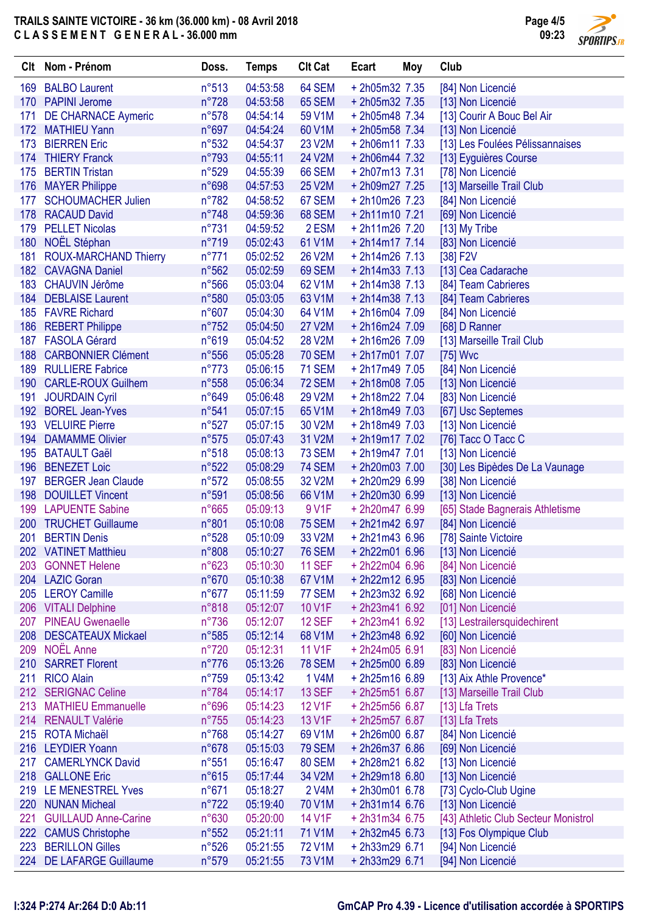

|     | Clt Nom - Prénom                                     | Doss.          | <b>Temps</b> | <b>CIt Cat</b> | Ecart                              | Moy | Club                                 |
|-----|------------------------------------------------------|----------------|--------------|----------------|------------------------------------|-----|--------------------------------------|
| 169 | <b>BALBO Laurent</b>                                 | n°513          | 04:53:58     | 64 SEM         | $+ 2h05m32$ 7.35                   |     | [84] Non Licencié                    |
| 170 | <b>PAPINI Jerome</b>                                 | $n^{\circ}728$ | 04:53:58     | <b>65 SEM</b>  | $+ 2h05m32$ 7.35                   |     | [13] Non Licencié                    |
| 171 | <b>DE CHARNACE Aymeric</b>                           | n°578          | 04:54:14     | 59 V1M         | $+ 2h05m48$ 7.34                   |     | [13] Courir A Bouc Bel Air           |
|     | 172 MATHIEU Yann                                     | n°697          | 04:54:24     | 60 V1M         | +2h05m58 7.34                      |     | [13] Non Licencié                    |
| 173 | <b>BIERREN Eric</b>                                  | n°532          | 04:54:37     | 23 V2M         | $+ 2h06m117.33$                    |     | [13] Les Foulées Pélissannaises      |
| 174 | <b>THIERY Franck</b>                                 | n°793          | 04:55:11     | 24 V2M         | $+ 2h06m44 7.32$                   |     | [13] Eyguières Course                |
| 175 | <b>BERTIN Tristan</b>                                | $n^{\circ}529$ | 04:55:39     | <b>66 SEM</b>  | $+ 2h07m137.31$                    |     | [78] Non Licencié                    |
| 176 | <b>MAYER Philippe</b>                                | n°698          | 04:57:53     | 25 V2M         | $+ 2h09m277.25$                    |     | [13] Marseille Trail Club            |
| 177 | <b>SCHOUMACHER Julien</b>                            | $n^{\circ}782$ | 04:58:52     | 67 SEM         | $+ 2h10m26$ 7.23                   |     | [84] Non Licencié                    |
|     | 178 RACAUD David                                     | $n^{\circ}748$ | 04:59:36     | 68 SEM         | $+ 2h11m107.21$                    |     | [69] Non Licencié                    |
| 179 | <b>PELLET Nicolas</b>                                | $n^{\circ}731$ | 04:59:52     | 2 ESM          | $+ 2h11m26$ 7.20                   |     | [13] My Tribe                        |
| 180 | NOËL Stéphan                                         | n°719          | 05:02:43     | 61 V1M         | $+ 2h14m1777.14$                   |     | [83] Non Licencié                    |
| 181 | <b>ROUX-MARCHAND Thierry</b>                         | $n^{\circ}771$ | 05:02:52     | 26 V2M         | $+ 2h14m26$ 7.13                   |     | [38] F2V                             |
| 182 | <b>CAVAGNA Daniel</b>                                | n°562          | 05:02:59     | 69 SEM         | $+ 2h14m337.13$                    |     | [13] Cea Cadarache                   |
| 183 | <b>CHAUVIN Jérôme</b>                                | $n^{\circ}566$ | 05:03:04     | 62 V1M         | $+ 2h14m38$ 7.13                   |     | [84] Team Cabrieres                  |
| 184 | <b>DEBLAISE Laurent</b>                              | n°580          | 05:03:05     | 63 V1M         | $+ 2h14m38$ 7.13                   |     | [84] Team Cabrieres                  |
|     | 185 FAVRE Richard                                    | n°607          | 05:04:30     | 64 V1M         | $+ 2h16m04 7.09$                   |     | [84] Non Licencié                    |
| 186 | <b>REBERT Philippe</b>                               | $n^{\circ}752$ | 05:04:50     | <b>27 V2M</b>  | $+ 2h16m24 7.09$                   |     | [68] D Ranner                        |
| 187 | <b>FASOLA Gérard</b>                                 | n°619          | 05:04:52     | <b>28 V2M</b>  | +2h16m26 7.09                      |     | [13] Marseille Trail Club            |
| 188 | <b>CARBONNIER Clément</b>                            | $n^{\circ}556$ | 05:05:28     | <b>70 SEM</b>  | $+ 2h17m017.07$                    |     | [75] Wvc                             |
| 189 | <b>RULLIERE Fabrice</b>                              | $n^{\circ}773$ | 05:06:15     | <b>71 SEM</b>  | $+ 2h17m497.05$                    |     | [84] Non Licencié                    |
| 190 | <b>CARLE-ROUX Guilhem</b>                            | n°558          | 05:06:34     | <b>72 SEM</b>  | $+ 2h18m08$ 7.05                   |     | [13] Non Licencié                    |
| 191 | <b>JOURDAIN Cyril</b>                                | n°649          | 05:06:48     | 29 V2M         | +2h18m22 7.04                      |     | [83] Non Licencié                    |
| 192 | <b>BOREL Jean-Yves</b>                               | n°541          | 05:07:15     | 65 V1M         | $+ 2h18m497.03$                    |     | [67] Usc Septemes                    |
| 193 | <b>VELUIRE Pierre</b>                                | $n^{\circ}527$ | 05:07:15     | 30 V2M         | +2h18m49 7.03                      |     | [13] Non Licencié                    |
| 194 | <b>DAMAMME Olivier</b>                               | $n^{\circ}575$ | 05:07:43     | 31 V2M         | +2h19m17 7.02                      |     | [76] Tacc O Tacc C                   |
| 195 | <b>BATAULT Gaël</b>                                  | n°518          | 05:08:13     | <b>73 SEM</b>  | $+ 2h19m4777.01$                   |     | [13] Non Licencié                    |
| 196 | <b>BENEZET Loic</b>                                  | n°522          | 05:08:29     | <b>74 SEM</b>  | +2h20m03 7.00                      |     | [30] Les Bipèdes De La Vaunage       |
| 197 | <b>BERGER Jean Claude</b>                            | n°572          | 05:08:55     | 32 V2M         | +2h20m29 6.99                      |     | [38] Non Licencié                    |
| 198 | <b>DOUILLET Vincent</b>                              | n°591          | 05:08:56     | 66 V1M         | +2h20m30 6.99                      |     | [13] Non Licencié                    |
| 199 | <b>LAPUENTE Sabine</b>                               | n°665          | 05:09:13     | 9 V1F          | +2h20m47 6.99                      |     | [65] Stade Bagnerais Athletisme      |
| 200 | <b>TRUCHET Guillaume</b>                             | n°801          | 05:10:08     | <b>75 SEM</b>  | $+2h21m426.97$                     |     | [84] Non Licencié                    |
| 201 | <b>BERTIN Denis</b>                                  | n°528          | 05:10:09     | 33 V2M         | $+ 2h21m436.96$                    |     | [78] Sainte Victoire                 |
| 202 | <b>VATINET Matthieu</b>                              | n°808          | 05:10:27     | <b>76 SEM</b>  | +2h22m01 6.96                      |     | [13] Non Licencié                    |
| 203 | <b>GONNET Helene</b>                                 | n°623          | 05:10:30     | <b>11 SEF</b>  | $+ 2h22m04 6.96$                   |     |                                      |
|     | 204 LAZIC Goran                                      | n°670          |              | 67 V1M         | +2h22m12 6.95                      |     | [84] Non Licencié                    |
| 205 | <b>LEROY Camille</b>                                 | $n^{\circ}677$ | 05:10:38     | 77 SEM         | $+ 2h23m32 6.92$                   |     | [83] Non Licencié                    |
|     |                                                      |                | 05:11:59     |                |                                    |     | [68] Non Licencié                    |
| 206 | <b>VITALI Delphine</b>                               | n°818          | 05:12:07     | 10 V1F         | $+ 2h23m416.92$                    |     | [01] Non Licencié                    |
| 207 | <b>PINEAU Gwenaelle</b><br><b>DESCATEAUX Mickael</b> | $n^{\circ}736$ | 05:12:07     | <b>12 SEF</b>  | $+ 2h23m416.92$<br>$+ 2h23m486.92$ |     | [13] Lestrailersquidechirent         |
| 208 | <b>NOËL Anne</b>                                     | n°585          | 05:12:14     | 68 V1M         | $+ 2h24m056.91$                    |     | [60] Non Licencié                    |
| 209 |                                                      | $n^{\circ}720$ | 05:12:31     | <b>11 V1F</b>  |                                    |     | [83] Non Licencié                    |
|     | 210 SARRET Florent                                   | $n^{\circ}776$ | 05:13:26     | <b>78 SEM</b>  | +2h25m00 6.89                      |     | [83] Non Licencié                    |
| 211 | <b>RICO Alain</b>                                    | $n^{\circ}759$ | 05:13:42     | 1 V4M          | $+ 2h25m16$ 6.89                   |     | [13] Aix Athle Provence*             |
|     | 212 SERIGNAC Celine                                  | n°784          | 05:14:17     | <b>13 SEF</b>  | $+ 2h25m516.87$                    |     | [13] Marseille Trail Club            |
| 213 | <b>MATHIEU Emmanuelle</b>                            | n°696          | 05:14:23     | 12 V1F         | $+2h25m566.87$                     |     | [13] Lfa Trets                       |
| 214 | <b>RENAULT Valérie</b>                               | $n^{\circ}755$ | 05:14:23     | 13 V1F         | $+ 2h25m576.87$                    |     | [13] Lfa Trets                       |
| 215 | <b>ROTA Michaël</b>                                  | $n^{\circ}768$ | 05:14:27     | 69 V1M         | $+2h26m006.87$                     |     | [84] Non Licencié                    |
|     | 216 LEYDIER Yoann                                    | n°678          | 05:15:03     | <b>79 SEM</b>  | $+2h26m376.86$                     |     | [69] Non Licencié                    |
| 217 | <b>CAMERLYNCK David</b>                              | n°551          | 05:16:47     | 80 SEM         | +2h28m21 6.82                      |     | [13] Non Licencié                    |
| 218 | <b>GALLONE Eric</b>                                  | n°615          | 05:17:44     | 34 V2M         | $+ 2h29m18$ 6.80                   |     | [13] Non Licencié                    |
| 219 | LE MENESTREL Yves                                    | $n^{\circ}671$ | 05:18:27     | 2 V4M          | $+2h30m016.78$                     |     | [73] Cyclo-Club Ugine                |
| 220 | <b>NUNAN Micheal</b>                                 | $n^{\circ}722$ | 05:19:40     | 70 V1M         | $+2h31m146.76$                     |     | [13] Non Licencié                    |
| 221 | <b>GUILLAUD Anne-Carine</b>                          | n°630          | 05:20:00     | 14 V1F         | $+2h31m346.75$                     |     | [43] Athletic Club Secteur Monistrol |
|     | 222 CAMUS Christophe                                 | n°552          | 05:21:11     | 71 V1M         | $+ 2h32m456.73$                    |     | [13] Fos Olympique Club              |
| 223 | <b>BERILLON Gilles</b>                               | $n^{\circ}526$ | 05:21:55     | <b>72 V1M</b>  | +2h33m29 6.71                      |     | [94] Non Licencié                    |
|     | 224 DE LAFARGE Guillaume                             | n°579          | 05:21:55     | 73 V1M         | +2h33m29 6.71                      |     | [94] Non Licencié                    |